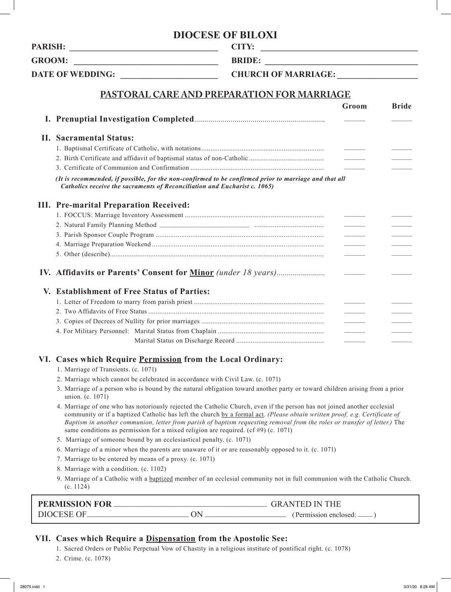# **DIOCESE OF BILOXI**

**PARISH: \_\_\_\_\_\_\_\_\_\_\_\_\_\_\_\_\_\_\_\_\_\_\_\_\_\_\_\_\_\_\_\_\_\_\_ CITY: \_\_\_\_\_\_\_\_\_\_\_\_\_\_\_\_\_\_\_\_\_\_\_\_\_\_\_\_\_\_\_\_\_\_\_\_\_**

GROOM: **BRIDE:**  $\blacksquare$ 

**DATE OF WEDDING: \_\_\_\_\_\_\_\_\_\_\_\_\_\_\_\_\_\_\_\_\_\_\_ CHURCH OF MARRIAGE: \_\_\_\_\_\_\_\_\_\_\_\_\_\_\_\_\_\_\_**

# **PASTORAL CARE AND PREPARATION FOR MARRIAGE**

|  |                                                                                                                                                                                    | Groom | <b>Bride</b> |
|--|------------------------------------------------------------------------------------------------------------------------------------------------------------------------------------|-------|--------------|
|  |                                                                                                                                                                                    |       |              |
|  | <b>II. Sacramental Status:</b>                                                                                                                                                     |       |              |
|  |                                                                                                                                                                                    |       |              |
|  |                                                                                                                                                                                    |       |              |
|  |                                                                                                                                                                                    |       |              |
|  | (It is recommended, if possible, for the non-confirmed to be confirmed prior to marriage and that all<br>Catholics receive the sacraments of Reconciliation and Eucharist c. 1065) |       |              |
|  | <b>III.</b> Pre-marital Preparation Received:                                                                                                                                      |       |              |
|  |                                                                                                                                                                                    |       |              |
|  |                                                                                                                                                                                    |       |              |
|  |                                                                                                                                                                                    |       |              |
|  |                                                                                                                                                                                    |       |              |
|  |                                                                                                                                                                                    |       |              |
|  |                                                                                                                                                                                    |       |              |
|  | V. Establishment of Free Status of Parties:                                                                                                                                        |       |              |
|  |                                                                                                                                                                                    |       |              |
|  |                                                                                                                                                                                    |       |              |
|  |                                                                                                                                                                                    |       |              |
|  |                                                                                                                                                                                    |       |              |
|  |                                                                                                                                                                                    |       |              |
|  | VI. Cases which Require Permission from the Local Ordinary:<br>1. Marriage of Transients. (c. 1071)                                                                                |       |              |

- 2. Marriage which cannot be celebrated in accordance with Civil Law. (c. 1071)
- 3. Marriage of a person who is bound by the natural obligation toward another party or toward children arising from a prior union. (c. 1071)
- 4. Marriage of one who has notoriously rejected the Catholic Church, even if the person has not joined another ecclesial community or if a baptized Catholic has left the church by a formal act. *(Please obtain written proof, e.g. Certificate of Baptism in another communion, letter from parish of baptism requesting removal from the roles or transfer of letter.)* The same conditions as permission for a mixed religion are required. (cf #9) (c. 1071)
- 5. Marriage of someone bound by an ecclesiastical penalty. (c. 1071)
- 6. Marriage of a minor when the parents are unaware of it or are reasonably opposed to it. (c. 1071)
- 7. Marriage to be entered by means of a proxy. (c. 1071)
- 8. Marriage with a condition. (c. 1102)
- 9. Marriage of a Catholic with a baptized member of an ecclesial community not in full communion with the Catholic Church. (c. 1124)

| <b>PERMISSION FOR</b> | <b>GRANTED IN THE</b> |  |  |
|-----------------------|-----------------------|--|--|
| DIOCESE OF.           | (Permission enclosed: |  |  |

## **VII. Cases which Require a Dispensation from the Apostolic See:**

- 1. Sacred Orders or Public Perpetual Vow of Chastity in a religious institute of pontifical right. (c. 1078)
- 2. Crime. (c. 1078)